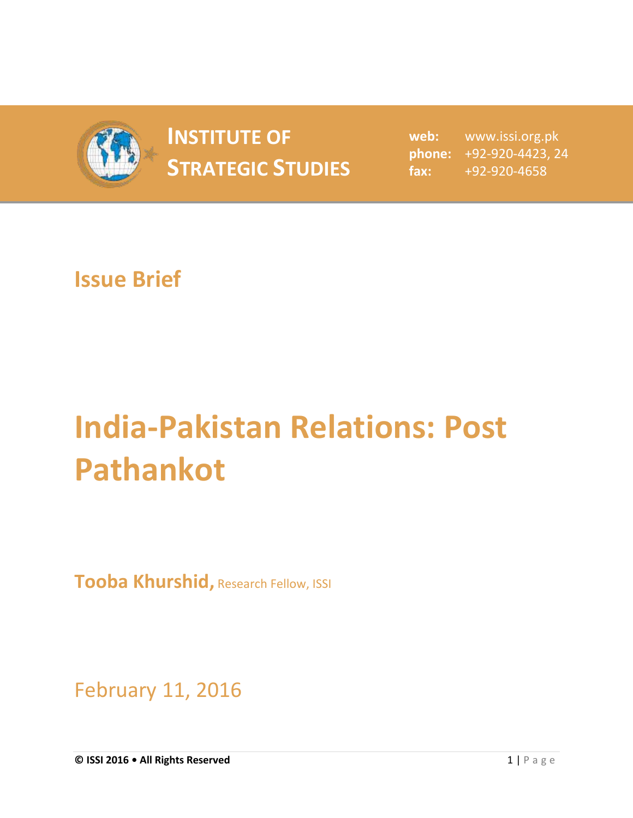

## **INSTITUTE OF STRATEGIC STUDIES**  $\begin{bmatrix} 1 & 1 & 1 \\ 1 & 1 & 1 \end{bmatrix}$

**web:** www.issi.org.pk **phone:** +92-920-4423, 24 **fax:** +92-920-4658

## **Issue Brief**

## **India-Pakistan Relations: Post Pathankot**

**Tooba Khurshid,** Research Fellow, ISSI

February 11, 2016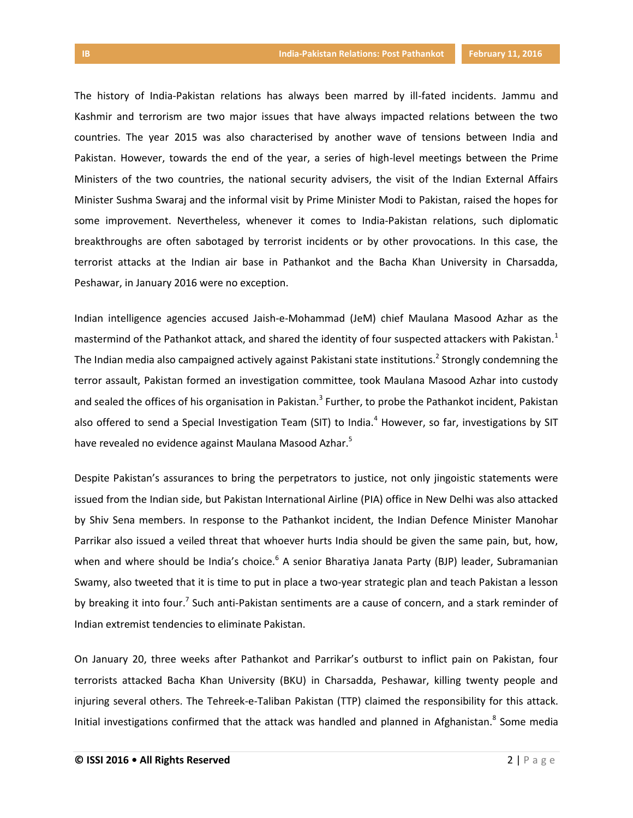The history of India-Pakistan relations has always been marred by ill-fated incidents. Jammu and Kashmir and terrorism are two major issues that have always impacted relations between the two countries. The year 2015 was also characterised by another wave of tensions between India and Pakistan. However, towards the end of the year, a series of high-level meetings between the Prime Ministers of the two countries, the national security advisers, the visit of the Indian External Affairs Minister Sushma Swaraj and the informal visit by Prime Minister Modi to Pakistan, raised the hopes for some improvement. Nevertheless, whenever it comes to India-Pakistan relations, such diplomatic breakthroughs are often sabotaged by terrorist incidents or by other provocations. In this case, the terrorist attacks at the Indian air base in Pathankot and the Bacha Khan University in Charsadda, Peshawar, in January 2016 were no exception.

Indian intelligence agencies accused Jaish-e-Mohammad (JeM) chief Maulana Masood Azhar as the mastermind of the Pathankot attack, and shared the identity of four suspected attackers with Pakistan.<sup>1</sup> The Indian media also campaigned actively against Pakistani state institutions.<sup>2</sup> Strongly condemning the terror assault, Pakistan formed an investigation committee, took Maulana Masood Azhar into custody and sealed the offices of his organisation in Pakistan.<sup>3</sup> Further, to probe the Pathankot incident, Pakistan also offered to send a Special Investigation Team (SIT) to India.<sup>4</sup> However, so far, investigations by SIT have revealed no evidence against Maulana Masood Azhar.<sup>5</sup>

Despite Pakistan's assurances to bring the perpetrators to justice, not only jingoistic statements were issued from the Indian side, but Pakistan International Airline (PIA) office in New Delhi was also attacked by Shiv Sena members. In response to the Pathankot incident, the Indian Defence Minister Manohar Parrikar also issued a veiled threat that whoever hurts India should be given the same pain, but, how, when and where should be India's choice.<sup>6</sup> A senior Bharatiya Janata Party (BJP) leader, Subramanian Swamy, also tweeted that it is time to put in place a two-year strategic plan and teach Pakistan a lesson by breaking it into four.<sup>7</sup> Such anti-Pakistan sentiments are a cause of concern, and a stark reminder of Indian extremist tendencies to eliminate Pakistan.

On January 20, three weeks after Pathankot and Parrikar's outburst to inflict pain on Pakistan, four terrorists attacked Bacha Khan University (BKU) in Charsadda, Peshawar, killing twenty people and injuring several others. The Tehreek-e-Taliban Pakistan (TTP) claimed the responsibility for this attack. Initial investigations confirmed that the attack was handled and planned in Afghanistan.<sup>8</sup> Some media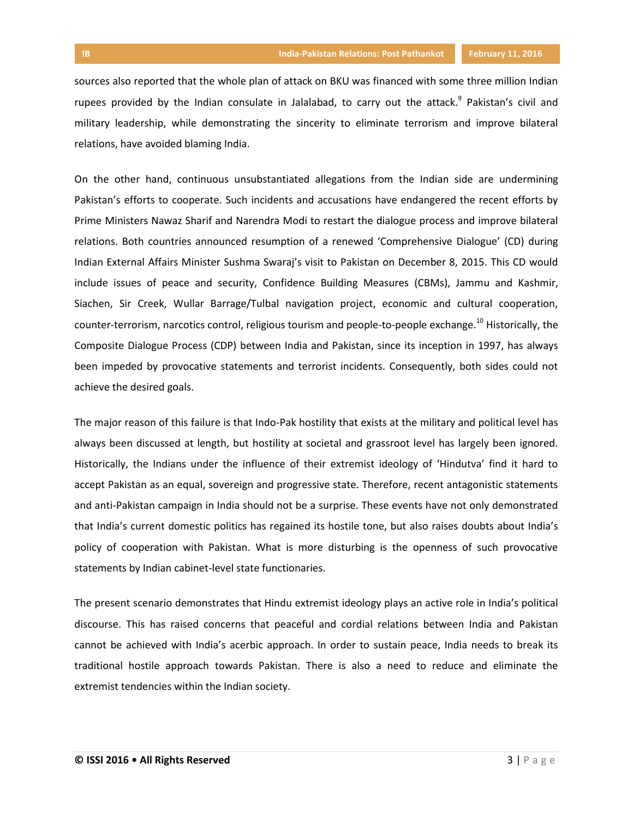sources also reported that the whole plan of attack on BKU was financed with some three million Indian rupees provided by the Indian consulate in Jalalabad, to carry out the attack.<sup>9</sup> Pakistan's civil and military leadership, while demonstrating the sincerity to eliminate terrorism and improve bilateral relations, have avoided blaming India.

On the other hand, continuous unsubstantiated allegations from the Indian side are undermining Pakistan's efforts to cooperate. Such incidents and accusations have endangered the recent efforts by Prime Ministers Nawaz Sharif and Narendra Modi to restart the dialogue process and improve bilateral relations. Both countries announced resumption of a renewed 'Comprehensive Dialogue' (CD) during Indian External Affairs Minister Sushma Swaraj's visit to Pakistan on December 8, 2015. This CD would include issues of peace and security, Confidence Building Measures (CBMs), Jammu and Kashmir, Siachen, Sir Creek, Wullar Barrage/Tulbal navigation project, economic and cultural cooperation, counter-terrorism, narcotics control, religious tourism and people-to-people exchange.<sup>10</sup> Historically, the Composite Dialogue Process (CDP) between India and Pakistan, since its inception in 1997, has always been impeded by provocative statements and terrorist incidents. Consequently, both sides could not achieve the desired goals.

The major reason of this failure is that Indo-Pak hostility that exists at the military and political level has always been discussed at length, but hostility at societal and grassroot level has largely been ignored. Historically, the Indians under the influence of their extremist ideology of 'Hindutva' find it hard to accept Pakistan as an equal, sovereign and progressive state. Therefore, recent antagonistic statements and anti-Pakistan campaign in India should not be a surprise. These events have not only demonstrated that India's current domestic politics has regained its hostile tone, but also raises doubts about India's policy of cooperation with Pakistan. What is more disturbing is the openness of such provocative statements by Indian cabinet-level state functionaries.

The present scenario demonstrates that Hindu extremist ideology plays an active role in India's political discourse. This has raised concerns that peaceful and cordial relations between India and Pakistan cannot be achieved with India's acerbic approach. In order to sustain peace, India needs to break its traditional hostile approach towards Pakistan. There is also a need to reduce and eliminate the extremist tendencies within the Indian society.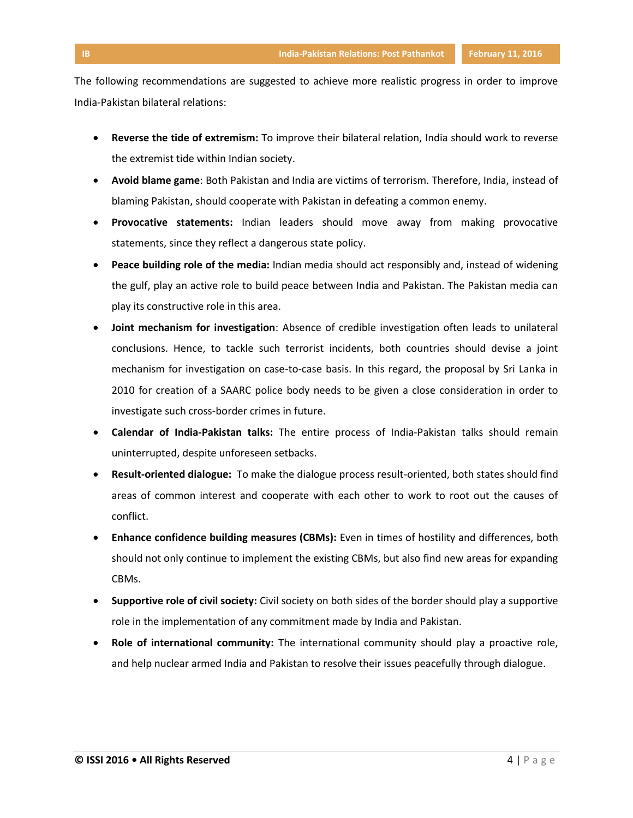The following recommendations are suggested to achieve more realistic progress in order to improve India-Pakistan bilateral relations:

- **Reverse the tide of extremism:** To improve their bilateral relation, India should work to reverse the extremist tide within Indian society.
- **Avoid blame game**: Both Pakistan and India are victims of terrorism. Therefore, India, instead of blaming Pakistan, should cooperate with Pakistan in defeating a common enemy.
- **Provocative statements:** Indian leaders should move away from making provocative statements, since they reflect a dangerous state policy.
- **Peace building role of the media:** Indian media should act responsibly and, instead of widening the gulf, play an active role to build peace between India and Pakistan. The Pakistan media can play its constructive role in this area.
- **Joint mechanism for investigation**: Absence of credible investigation often leads to unilateral conclusions. Hence, to tackle such terrorist incidents, both countries should devise a joint mechanism for investigation on case-to-case basis. In this regard, the proposal by Sri Lanka in 2010 for creation of a SAARC police body needs to be given a close consideration in order to investigate such cross-border crimes in future.
- **Calendar of India-Pakistan talks:** The entire process of India-Pakistan talks should remain uninterrupted, despite unforeseen setbacks.
- **Result-oriented dialogue:** To make the dialogue process result-oriented, both states should find areas of common interest and cooperate with each other to work to root out the causes of conflict.
- **Enhance confidence building measures (CBMs):** Even in times of hostility and differences, both should not only continue to implement the existing CBMs, but also find new areas for expanding CBMs.
- **Supportive role of civil society:** Civil society on both sides of the border should play a supportive role in the implementation of any commitment made by India and Pakistan.
- **Role of international community:** The international community should play a proactive role, and help nuclear armed India and Pakistan to resolve their issues peacefully through dialogue.